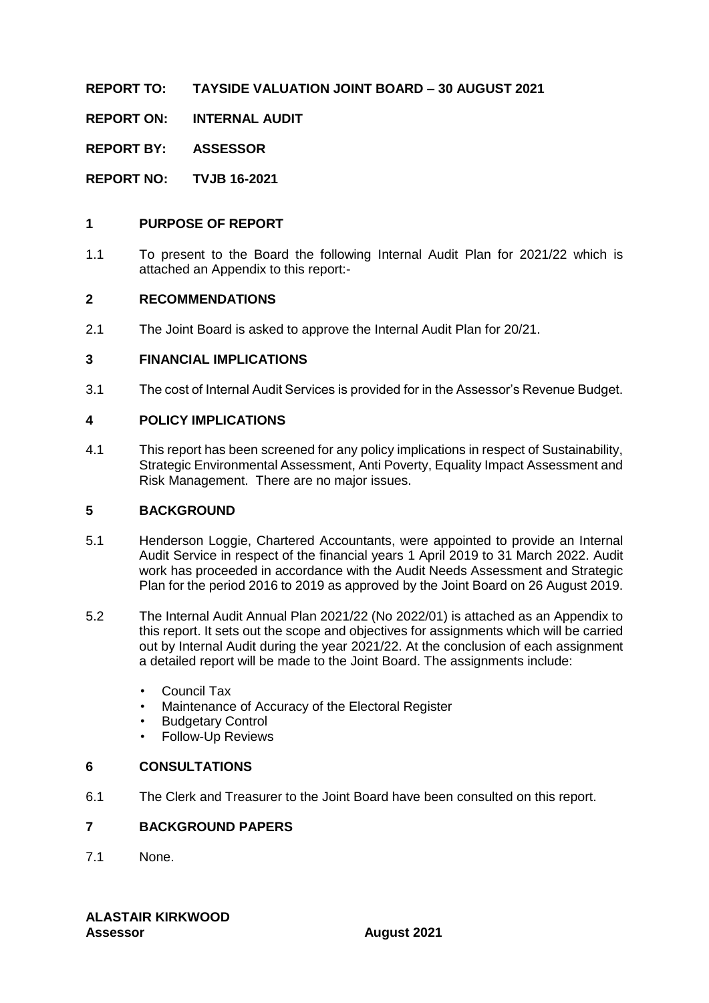**REPORT TO: TAYSIDE VALUATION JOINT BOARD – 30 AUGUST 2021**

**REPORT ON: INTERNAL AUDIT**

**REPORT BY: ASSESSOR**

**REPORT NO: TVJB 16-2021**

#### **1 PURPOSE OF REPORT**

1.1 To present to the Board the following Internal Audit Plan for 2021/22 which is attached an Appendix to this report:-

#### **2 RECOMMENDATIONS**

2.1 The Joint Board is asked to approve the Internal Audit Plan for 20/21.

#### **3 FINANCIAL IMPLICATIONS**

3.1 The cost of Internal Audit Services is provided for in the Assessor's Revenue Budget.

#### **4 POLICY IMPLICATIONS**

4.1 This report has been screened for any policy implications in respect of Sustainability, Strategic Environmental Assessment, Anti Poverty, Equality Impact Assessment and Risk Management. There are no major issues.

#### **5 BACKGROUND**

- 5.1 Henderson Loggie, Chartered Accountants, were appointed to provide an Internal Audit Service in respect of the financial years 1 April 2019 to 31 March 2022. Audit work has proceeded in accordance with the Audit Needs Assessment and Strategic Plan for the period 2016 to 2019 as approved by the Joint Board on 26 August 2019.
- 5.2 The Internal Audit Annual Plan 2021/22 (No 2022/01) is attached as an Appendix to this report. It sets out the scope and objectives for assignments which will be carried out by Internal Audit during the year 2021/22. At the conclusion of each assignment a detailed report will be made to the Joint Board. The assignments include:
	- Council Tax
	- Maintenance of Accuracy of the Electoral Register
	- **Budgetary Control**
	- Follow-Up Reviews

#### **6 CONSULTATIONS**

6.1 The Clerk and Treasurer to the Joint Board have been consulted on this report.

#### **7 BACKGROUND PAPERS**

7.1 None.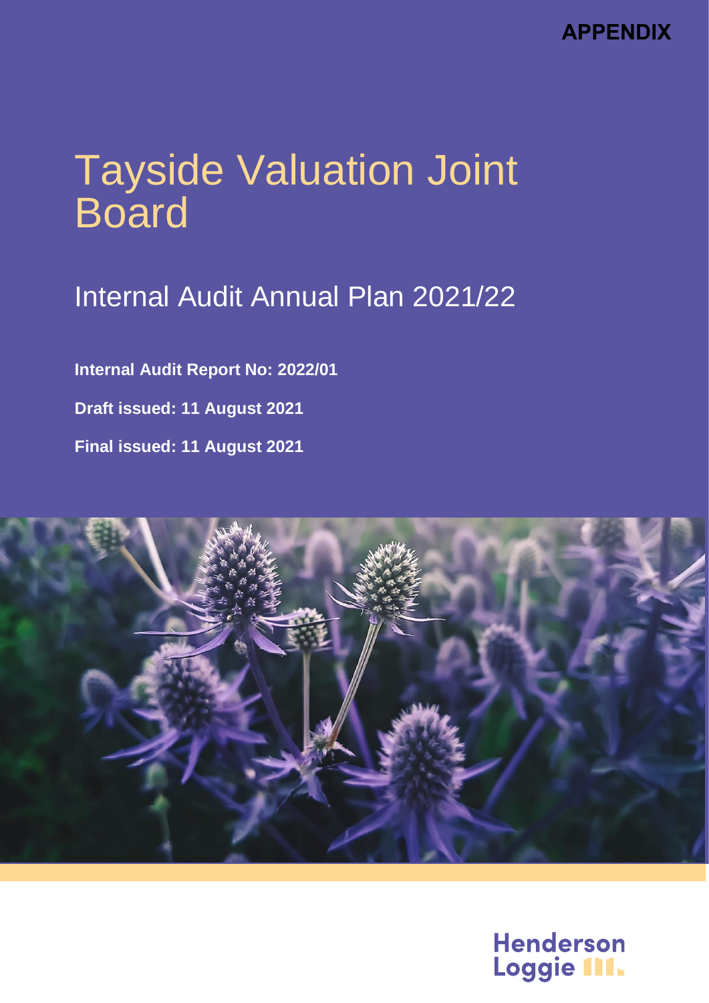**APPENDIX**

# Tayside Valuation Joint **Board**

## Internal Audit Annual Plan 2021/22

**Internal Audit Report No: 2022/01 Draft issued: 11 August 2021 Final issued: 11 August 2021**



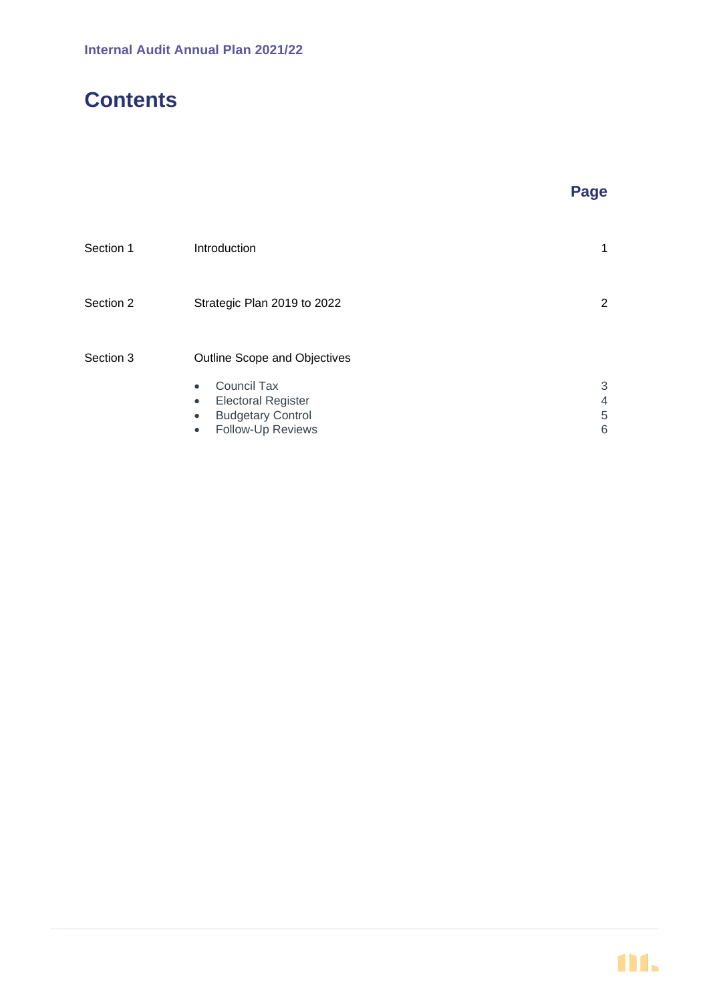## **Contents**

| Section 1 | Introduction                           |                |
|-----------|----------------------------------------|----------------|
| Section 2 | Strategic Plan 2019 to 2022            | $\overline{2}$ |
| Section 3 | Outline Scope and Objectives           |                |
|           | <b>Council Tax</b><br>$\bullet$        | 3              |
|           | <b>Electoral Register</b><br>$\bullet$ | 4              |
|           | <b>Budgetary Control</b><br>$\bullet$  | 5              |
|           | <b>Follow-Up Reviews</b><br>$\bullet$  | 6              |

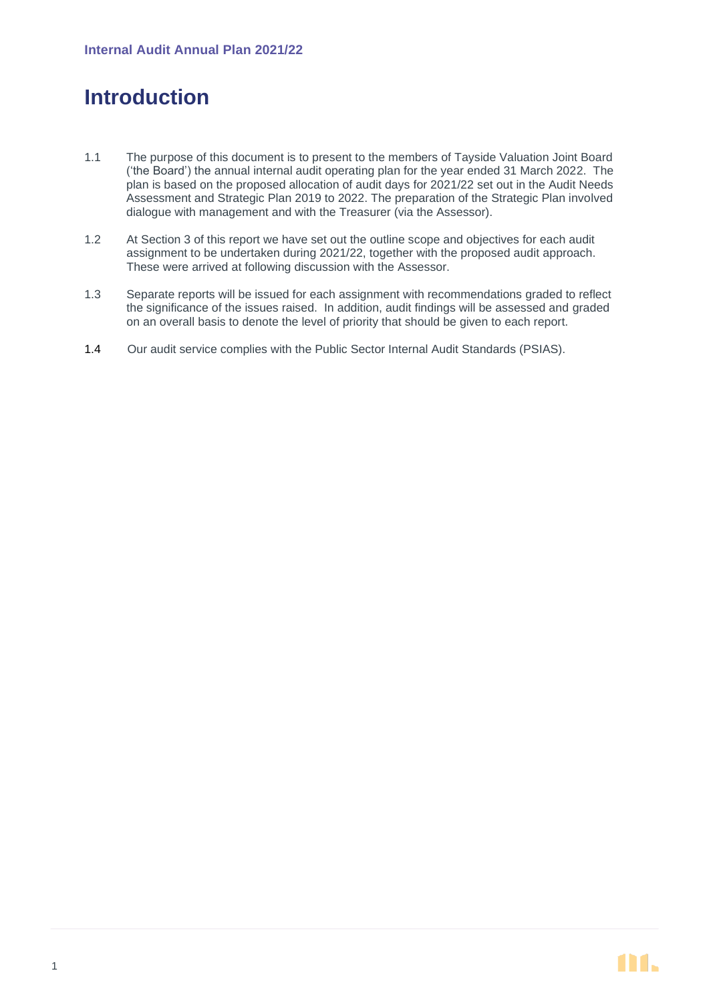## **Introduction**

- 1.1 The purpose of this document is to present to the members of Tayside Valuation Joint Board ('the Board') the annual internal audit operating plan for the year ended 31 March 2022. The plan is based on the proposed allocation of audit days for 2021/22 set out in the Audit Needs Assessment and Strategic Plan 2019 to 2022. The preparation of the Strategic Plan involved dialogue with management and with the Treasurer (via the Assessor).
- 1.2 At Section 3 of this report we have set out the outline scope and objectives for each audit assignment to be undertaken during 2021/22, together with the proposed audit approach. These were arrived at following discussion with the Assessor.
- 1.3 Separate reports will be issued for each assignment with recommendations graded to reflect the significance of the issues raised. In addition, audit findings will be assessed and graded on an overall basis to denote the level of priority that should be given to each report.
- 1.4 Our audit service complies with the Public Sector Internal Audit Standards (PSIAS).

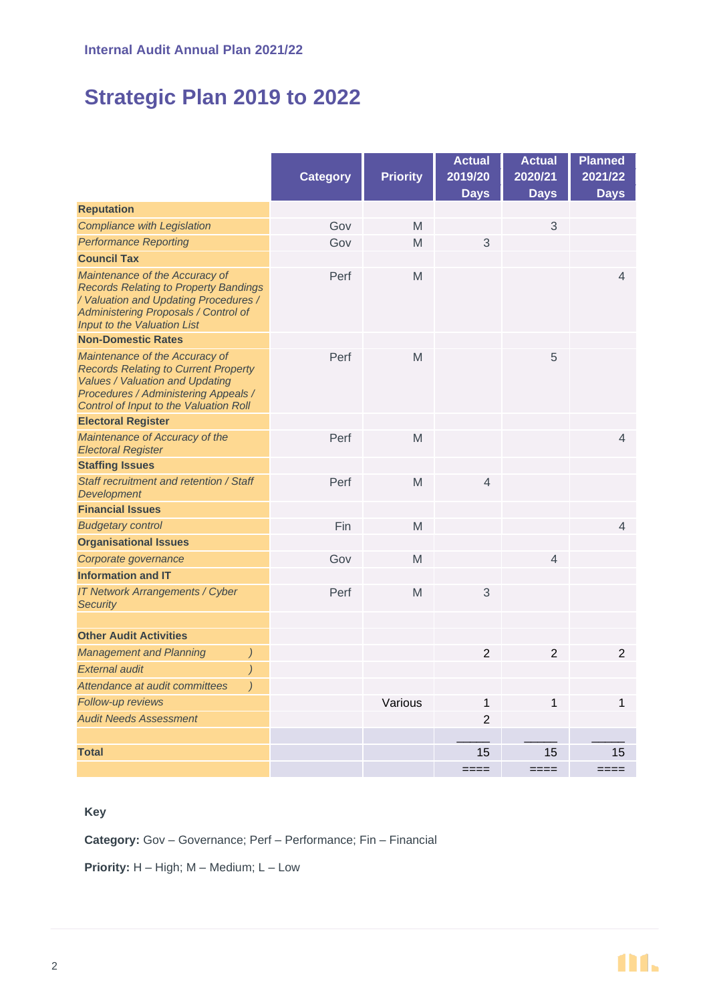## **Strategic Plan 2019 to 2022**

|                                                                                                                                                                                                    |                 |                 | <b>Actual</b>  | <b>Actual</b>  | <b>Planned</b> |
|----------------------------------------------------------------------------------------------------------------------------------------------------------------------------------------------------|-----------------|-----------------|----------------|----------------|----------------|
|                                                                                                                                                                                                    | <b>Category</b> | <b>Priority</b> | 2019/20        | 2020/21        | 2021/22        |
|                                                                                                                                                                                                    |                 |                 | <b>Days</b>    | <b>Days</b>    | <b>Days</b>    |
| <b>Reputation</b>                                                                                                                                                                                  |                 |                 |                |                |                |
| <b>Compliance with Legislation</b>                                                                                                                                                                 | Gov             | M               |                | 3              |                |
| <b>Performance Reporting</b>                                                                                                                                                                       | Gov             | M               | 3              |                |                |
| <b>Council Tax</b>                                                                                                                                                                                 |                 |                 |                |                |                |
| Maintenance of the Accuracy of<br><b>Records Relating to Property Bandings</b><br>/ Valuation and Updating Procedures /<br>Administering Proposals / Control of<br>Input to the Valuation List     | Perf            | M               |                |                | 4              |
| <b>Non-Domestic Rates</b>                                                                                                                                                                          |                 |                 |                |                |                |
| Maintenance of the Accuracy of<br><b>Records Relating to Current Property</b><br>Values / Valuation and Updating<br>Procedures / Administering Appeals /<br>Control of Input to the Valuation Roll | Perf            | M               |                | 5              |                |
| <b>Electoral Register</b>                                                                                                                                                                          |                 |                 |                |                |                |
| Maintenance of Accuracy of the<br><b>Electoral Register</b>                                                                                                                                        | Perf            | M               |                |                | $\overline{4}$ |
| <b>Staffing Issues</b>                                                                                                                                                                             |                 |                 |                |                |                |
| Staff recruitment and retention / Staff<br><b>Development</b>                                                                                                                                      | Perf            | M               | $\overline{4}$ |                |                |
| <b>Financial Issues</b>                                                                                                                                                                            |                 |                 |                |                |                |
| <b>Budgetary control</b>                                                                                                                                                                           | Fin             | M               |                |                | 4              |
| <b>Organisational Issues</b>                                                                                                                                                                       |                 |                 |                |                |                |
| Corporate governance                                                                                                                                                                               | Gov             | M               |                | 4              |                |
| <b>Information and IT</b>                                                                                                                                                                          |                 |                 |                |                |                |
| IT Network Arrangements / Cyber<br><b>Security</b>                                                                                                                                                 | Perf            | M               | 3              |                |                |
| <b>Other Audit Activities</b>                                                                                                                                                                      |                 |                 |                |                |                |
| <b>Management and Planning</b><br>$\left( \right)$                                                                                                                                                 |                 |                 | $\overline{2}$ | $\overline{2}$ | $\overline{2}$ |
| <b>External audit</b><br>$\big)$                                                                                                                                                                   |                 |                 |                |                |                |
| Attendance at audit committees<br>$\left( \right)$                                                                                                                                                 |                 |                 |                |                |                |
| Follow-up reviews                                                                                                                                                                                  |                 | Various         | 1              | 1              | 1              |
| <b>Audit Needs Assessment</b>                                                                                                                                                                      |                 |                 | $\overline{2}$ |                |                |
|                                                                                                                                                                                                    |                 |                 |                |                |                |
| <b>Total</b>                                                                                                                                                                                       |                 |                 | 15             | 15             | 15             |
|                                                                                                                                                                                                    |                 |                 | $--- - -$      | ————           | ————           |

#### **Key**

**Category:** Gov – Governance; Perf – Performance; Fin – Financial

**Priority:** H – High; M – Medium; L – Low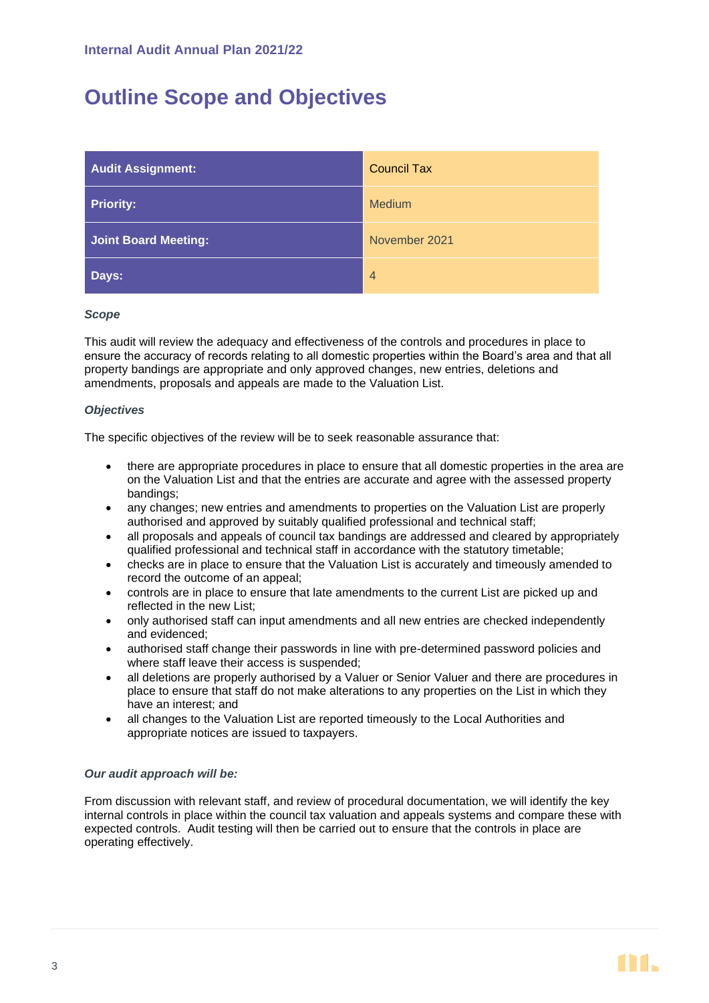## **Outline Scope and Objectives**

| <b>Audit Assignment:</b> | <b>Council Tax</b> |  |
|--------------------------|--------------------|--|
| <b>Priority:</b>         | <b>Medium</b>      |  |
| Joint Board Meeting:     | November 2021      |  |
| Days:                    | $\overline{4}$     |  |

#### *Scope*

This audit will review the adequacy and effectiveness of the controls and procedures in place to ensure the accuracy of records relating to all domestic properties within the Board's area and that all property bandings are appropriate and only approved changes, new entries, deletions and amendments, proposals and appeals are made to the Valuation List.

#### *Objectives*

The specific objectives of the review will be to seek reasonable assurance that:

- there are appropriate procedures in place to ensure that all domestic properties in the area are on the Valuation List and that the entries are accurate and agree with the assessed property bandings;
- any changes; new entries and amendments to properties on the Valuation List are properly authorised and approved by suitably qualified professional and technical staff;
- all proposals and appeals of council tax bandings are addressed and cleared by appropriately qualified professional and technical staff in accordance with the statutory timetable;
- checks are in place to ensure that the Valuation List is accurately and timeously amended to record the outcome of an appeal;
- controls are in place to ensure that late amendments to the current List are picked up and reflected in the new List;
- only authorised staff can input amendments and all new entries are checked independently and evidenced;
- authorised staff change their passwords in line with pre-determined password policies and where staff leave their access is suspended;
- all deletions are properly authorised by a Valuer or Senior Valuer and there are procedures in place to ensure that staff do not make alterations to any properties on the List in which they have an interest; and
- all changes to the Valuation List are reported timeously to the Local Authorities and appropriate notices are issued to taxpayers.

#### *Our audit approach will be:*

From discussion with relevant staff, and review of procedural documentation, we will identify the key internal controls in place within the council tax valuation and appeals systems and compare these with expected controls. Audit testing will then be carried out to ensure that the controls in place are operating effectively.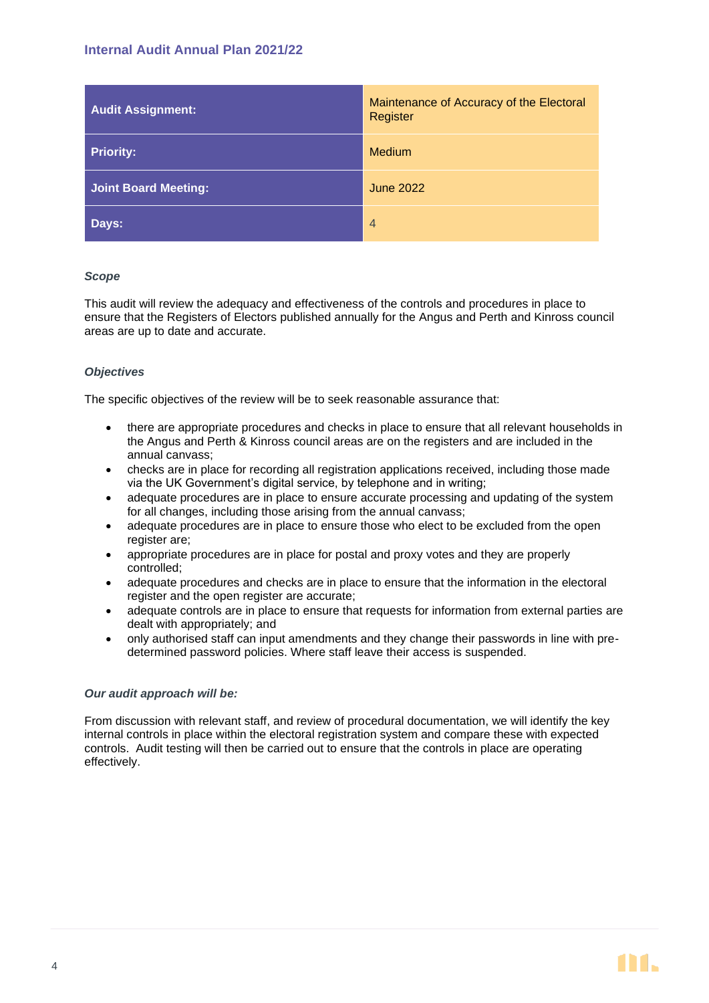| <b>Audit Assignment:</b> | Maintenance of Accuracy of the Electoral<br>Register |  |
|--------------------------|------------------------------------------------------|--|
| <b>Priority:</b>         | Medium                                               |  |
| Joint Board Meeting:     | <b>June 2022</b>                                     |  |
| Days:                    | $\overline{4}$                                       |  |

#### *Scope*

This audit will review the adequacy and effectiveness of the controls and procedures in place to ensure that the Registers of Electors published annually for the Angus and Perth and Kinross council areas are up to date and accurate.

#### *Objectives*

The specific objectives of the review will be to seek reasonable assurance that:

- there are appropriate procedures and checks in place to ensure that all relevant households in the Angus and Perth & Kinross council areas are on the registers and are included in the annual canvass;
- checks are in place for recording all registration applications received, including those made via the UK Government's digital service, by telephone and in writing;
- adequate procedures are in place to ensure accurate processing and updating of the system for all changes, including those arising from the annual canvass;
- adequate procedures are in place to ensure those who elect to be excluded from the open register are;
- appropriate procedures are in place for postal and proxy votes and they are properly controlled;
- adequate procedures and checks are in place to ensure that the information in the electoral register and the open register are accurate;
- adequate controls are in place to ensure that requests for information from external parties are dealt with appropriately; and
- only authorised staff can input amendments and they change their passwords in line with predetermined password policies. Where staff leave their access is suspended.

#### *Our audit approach will be:*

From discussion with relevant staff, and review of procedural documentation, we will identify the key internal controls in place within the electoral registration system and compare these with expected controls. Audit testing will then be carried out to ensure that the controls in place are operating effectively.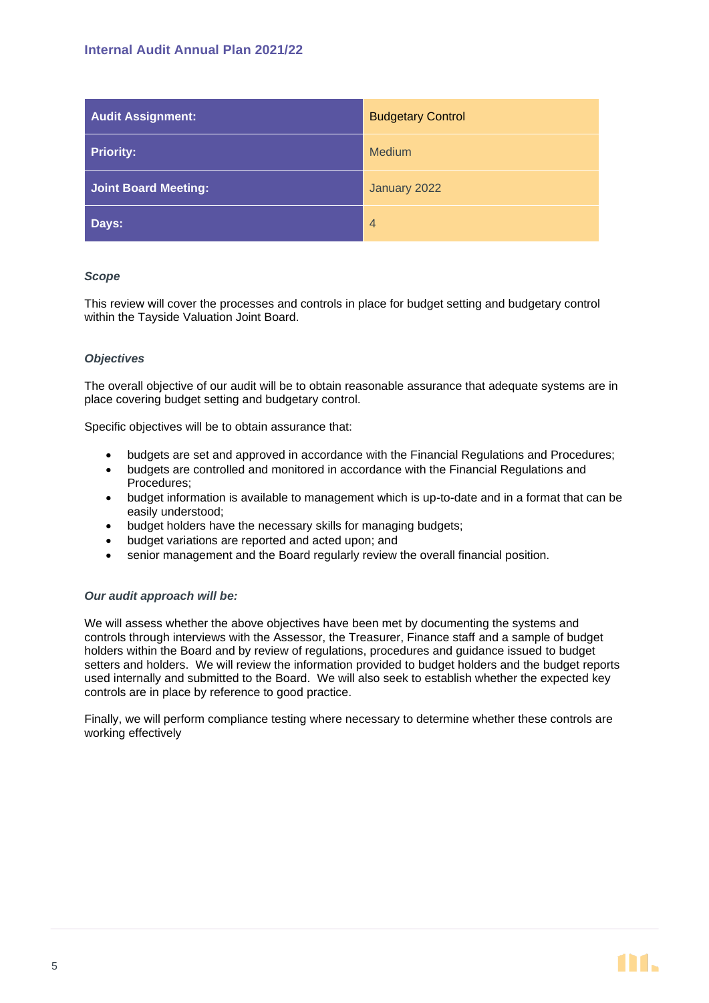| <b>Audit Assignment:</b>    | <b>Budgetary Control</b> |  |
|-----------------------------|--------------------------|--|
| <b>Priority:</b>            | <b>Medium</b>            |  |
| <b>Joint Board Meeting:</b> | January 2022             |  |
| Days:                       | $\overline{4}$           |  |

#### *Scope*

This review will cover the processes and controls in place for budget setting and budgetary control within the Tayside Valuation Joint Board.

#### *Objectives*

The overall objective of our audit will be to obtain reasonable assurance that adequate systems are in place covering budget setting and budgetary control.

Specific objectives will be to obtain assurance that:

- budgets are set and approved in accordance with the Financial Regulations and Procedures;
- budgets are controlled and monitored in accordance with the Financial Regulations and Procedures;
- budget information is available to management which is up-to-date and in a format that can be easily understood;
- budget holders have the necessary skills for managing budgets;
- budget variations are reported and acted upon; and
- senior management and the Board regularly review the overall financial position.

#### *Our audit approach will be:*

We will assess whether the above objectives have been met by documenting the systems and controls through interviews with the Assessor, the Treasurer, Finance staff and a sample of budget holders within the Board and by review of regulations, procedures and guidance issued to budget setters and holders. We will review the information provided to budget holders and the budget reports used internally and submitted to the Board. We will also seek to establish whether the expected key controls are in place by reference to good practice.

Finally, we will perform compliance testing where necessary to determine whether these controls are working effectively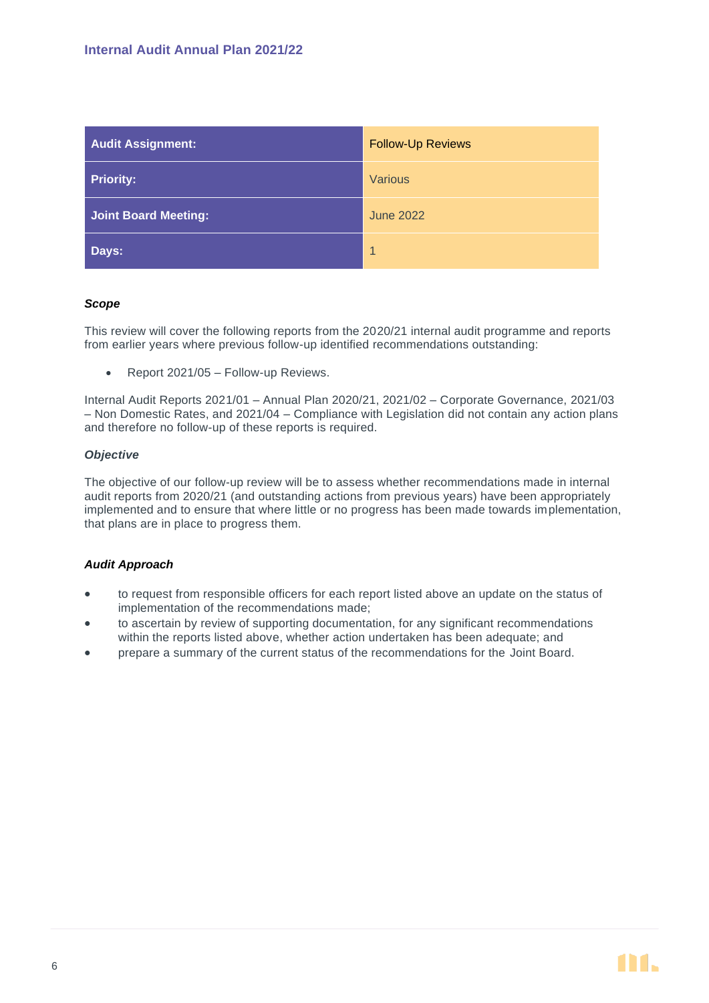| <b>Audit Assignment:</b>    | <b>Follow-Up Reviews</b> |  |
|-----------------------------|--------------------------|--|
| <b>Priority:</b>            | <b>Various</b>           |  |
| <b>Joint Board Meeting:</b> | <b>June 2022</b>         |  |
| Days:                       | $\overline{1}$           |  |

#### *Scope*

This review will cover the following reports from the 2020/21 internal audit programme and reports from earlier years where previous follow-up identified recommendations outstanding:

• Report 2021/05 – Follow-up Reviews.

Internal Audit Reports 2021/01 – Annual Plan 2020/21, 2021/02 – Corporate Governance, 2021/03 – Non Domestic Rates, and 2021/04 – Compliance with Legislation did not contain any action plans and therefore no follow-up of these reports is required.

#### *Objective*

The objective of our follow-up review will be to assess whether recommendations made in internal audit reports from 2020/21 (and outstanding actions from previous years) have been appropriately implemented and to ensure that where little or no progress has been made towards implementation, that plans are in place to progress them.

#### *Audit Approach*

- to request from responsible officers for each report listed above an update on the status of implementation of the recommendations made;
- to ascertain by review of supporting documentation, for any significant recommendations within the reports listed above, whether action undertaken has been adequate; and
- prepare a summary of the current status of the recommendations for the Joint Board.